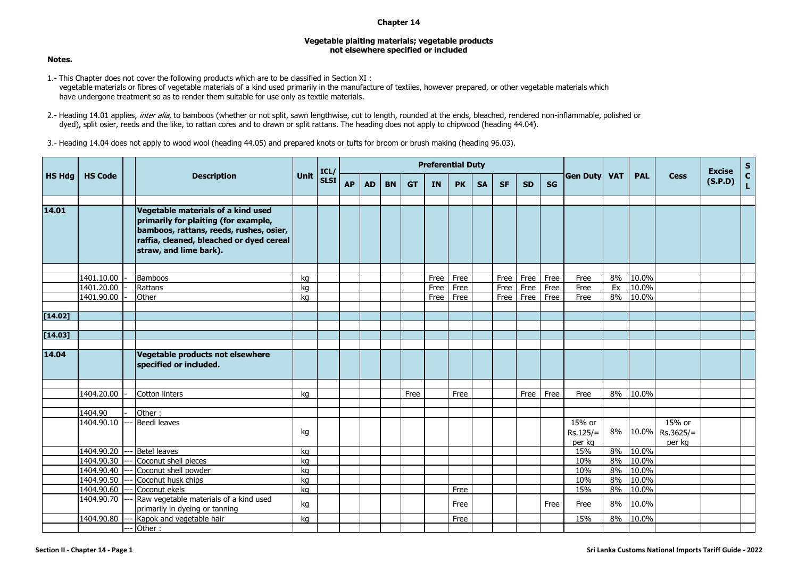## **Chapter 14**

## **Vegetable plaiting materials; vegetable products not elsewhere specified or included**

**Notes.**

- 1.- This Chapter does not cover the following products which are to be classified in Section XI : vegetable materials or fibres of vegetable materials of a kind used primarily in the manufacture of textiles, however prepared, or other vegetable materials which have undergone treatment so as to render them suitable for use only as textile materials.
- 2.- Heading 14.01 applies, inter alia, to bamboos (whether or not split, sawn lengthwise, cut to length, rounded at the ends, bleached, rendered non-inflammable, polished or dyed), split osier, reeds and the like, to rattan cores and to drawn or split rattans. The heading does not apply to chipwood (heading 44.04).
- 3.- Heading 14.04 does not apply to wood wool (heading 44.05) and prepared knots or tufts for broom or brush making (heading 96.03).

| <b>HS Hdg</b> | <b>HS Code</b> |  | <b>Description</b>                                                                                                                                                                          | <b>Unit</b> | ICL/        | <b>Preferential Duty</b> |           |           |           |           |           |           |           |           |           |                                |    |            | <b>Excise</b>                   | $\frac{s}{c}$ |                    |
|---------------|----------------|--|---------------------------------------------------------------------------------------------------------------------------------------------------------------------------------------------|-------------|-------------|--------------------------|-----------|-----------|-----------|-----------|-----------|-----------|-----------|-----------|-----------|--------------------------------|----|------------|---------------------------------|---------------|--------------------|
|               |                |  |                                                                                                                                                                                             |             | <b>SLSI</b> | <b>AP</b>                | <b>AD</b> | <b>BN</b> | <b>GT</b> | <b>IN</b> | <b>PK</b> | <b>SA</b> | <b>SF</b> | <b>SD</b> | <b>SG</b> | <b>VAT</b><br><b>Gen Duty</b>  |    | <b>PAL</b> | <b>Cess</b>                     | (S.P.D)       | $\bar{\mathbf{L}}$ |
| 14.01         |                |  | Vegetable materials of a kind used<br>primarily for plaiting (for example,<br>bamboos, rattans, reeds, rushes, osier,<br>raffia, cleaned, bleached or dyed cereal<br>straw, and lime bark). |             |             |                          |           |           |           |           |           |           |           |           |           |                                |    |            |                                 |               |                    |
|               | 1401.10.00     |  | <b>Bamboos</b>                                                                                                                                                                              | ka          |             |                          |           |           |           | Free      | Free      |           | Free      | Free      | Free      | Free                           | 8% | 10.0%      |                                 |               |                    |
|               | 1401.20.00     |  | Rattans                                                                                                                                                                                     | kg          |             |                          |           |           |           | Free      | Free      |           | Free      | Free      | Free      | Free                           | Ex | 10.0%      |                                 |               |                    |
|               | 1401.90.00     |  | Other                                                                                                                                                                                       | kg          |             |                          |           |           |           | Free      | Free      |           | Free      | Free      | Free      | Free                           | 8% | 10.0%      |                                 |               |                    |
|               |                |  |                                                                                                                                                                                             |             |             |                          |           |           |           |           |           |           |           |           |           |                                |    |            |                                 |               |                    |
| [14.02]       |                |  |                                                                                                                                                                                             |             |             |                          |           |           |           |           |           |           |           |           |           |                                |    |            |                                 |               |                    |
|               |                |  |                                                                                                                                                                                             |             |             |                          |           |           |           |           |           |           |           |           |           |                                |    |            |                                 |               |                    |
| [14.03]       |                |  |                                                                                                                                                                                             |             |             |                          |           |           |           |           |           |           |           |           |           |                                |    |            |                                 |               |                    |
| 14.04         |                |  | Vegetable products not elsewhere<br>specified or included.                                                                                                                                  |             |             |                          |           |           |           |           |           |           |           |           |           |                                |    |            |                                 |               |                    |
|               |                |  |                                                                                                                                                                                             |             |             |                          |           |           |           |           |           |           |           |           |           |                                |    |            |                                 |               |                    |
|               | 1404.20.00     |  | Cotton linters                                                                                                                                                                              | kg          |             |                          |           |           | Free      |           | Free      |           |           | Free      | Free      | Free                           | 8% | 10.0%      |                                 |               |                    |
|               |                |  |                                                                                                                                                                                             |             |             |                          |           |           |           |           |           |           |           |           |           |                                |    |            |                                 |               |                    |
|               | 1404.90        |  | Other:                                                                                                                                                                                      |             |             |                          |           |           |           |           |           |           |           |           |           |                                |    |            |                                 |               |                    |
|               | 1404.90.10     |  | Beedi leaves                                                                                                                                                                                | kg          |             |                          |           |           |           |           |           |           |           |           |           | 15% or<br>$Rs.125/=$<br>per kg | 8% | 10.0%      | 15% or<br>$Rs.3625/=$<br>per kg |               |                    |
|               | 1404.90.20     |  | <b>Betel leaves</b>                                                                                                                                                                         | ka          |             |                          |           |           |           |           |           |           |           |           |           | 15%                            | 8% | 10.0%      |                                 |               |                    |
|               | 1404.90.30     |  | Coconut shell pieces                                                                                                                                                                        | kg          |             |                          |           |           |           |           |           |           |           |           |           | 10%                            | 8% | 10.0%      |                                 |               |                    |
|               | 1404.90.40     |  | Coconut shell powder                                                                                                                                                                        | kg          |             |                          |           |           |           |           |           |           |           |           |           | 10%                            | 8% | 10.0%      |                                 |               |                    |
|               | 1404.90.50     |  | Coconut husk chips                                                                                                                                                                          | ka          |             |                          |           |           |           |           |           |           |           |           |           | 10%                            | 8% | 10.0%      |                                 |               |                    |
|               | 1404.90.60     |  | Coconut ekels                                                                                                                                                                               | ka          |             |                          |           |           |           |           | Free      |           |           |           |           | 15%                            | 8% | 10.0%      |                                 |               |                    |
|               | 1404.90.70     |  | Raw vegetable materials of a kind used<br>primarily in dyeing or tanning                                                                                                                    | kg          |             |                          |           |           |           |           | Free      |           |           |           | Free      | Free                           | 8% | 10.0%      |                                 |               |                    |
|               | 1404.90.80     |  | Kapok and vegetable hair                                                                                                                                                                    | kg          |             |                          |           |           |           |           | Free      |           |           |           |           | 15%                            | 8% | 10.0%      |                                 |               |                    |
|               |                |  | Other:                                                                                                                                                                                      |             |             |                          |           |           |           |           |           |           |           |           |           |                                |    |            |                                 |               |                    |